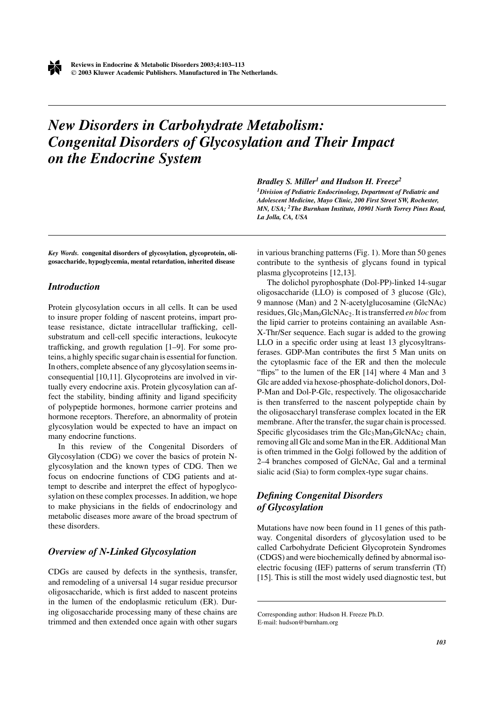

# *New Disorders in Carbohydrate Metabolism: Congenital Disorders of Glycosylation and Their Impact on the Endocrine System*

*Bradley S. Miller<sup>1</sup> and Hudson H. Freeze<sup>2</sup>*

*1Division of Pediatric Endocrinology, Department of Pediatric and Adolescent Medicine, Mayo Clinic, 200 First Street SW, Rochester, MN, USA; 2The Burnham Institute, 10901 North Torrey Pines Road, La Jolla, CA, USA*

*Key Words.* **congenital disorders of glycosylation, glycoprotein, oligosaccharide, hypoglycemia, mental retardation, inherited disease**

## *Introduction*

Protein glycosylation occurs in all cells. It can be used to insure proper folding of nascent proteins, impart protease resistance, dictate intracellular trafficking, cellsubstratum and cell-cell specific interactions, leukocyte trafficking, and growth regulation [1–9]. For some proteins, a highly specific sugar chain is essential for function. In others, complete absence of any glycosylation seems inconsequential [10,11]. Glycoproteins are involved in virtually every endocrine axis. Protein glycosylation can affect the stability, binding affinity and ligand specificity of polypeptide hormones, hormone carrier proteins and hormone receptors. Therefore, an abnormality of protein glycosylation would be expected to have an impact on many endocrine functions.

In this review of the Congenital Disorders of Glycosylation (CDG) we cover the basics of protein Nglycosylation and the known types of CDG. Then we focus on endocrine functions of CDG patients and attempt to describe and interpret the effect of hypoglycosylation on these complex processes. In addition, we hope to make physicians in the fields of endocrinology and metabolic diseases more aware of the broad spectrum of these disorders.

# *Overview of N-Linked Glycosylation*

CDGs are caused by defects in the synthesis, transfer, and remodeling of a universal 14 sugar residue precursor oligosaccharide, which is first added to nascent proteins in the lumen of the endoplasmic reticulum (ER). During oligosaccharide processing many of these chains are trimmed and then extended once again with other sugars in various branching patterns (Fig. 1). More than 50 genes contribute to the synthesis of glycans found in typical plasma glycoproteins [12,13].

The dolichol pyrophosphate (Dol-PP)-linked 14-sugar oligosaccharide (LLO) is composed of 3 glucose (Glc), 9 mannose (Man) and 2 N-acetylglucosamine (GlcNAc) residues, Glc<sub>3</sub>Man<sub>9</sub>GlcNAc<sub>2</sub>. It is transferred *en bloc* from the lipid carrier to proteins containing an available Asn-X-Thr/Ser sequence. Each sugar is added to the growing LLO in a specific order using at least 13 glycosyltransferases. GDP-Man contributes the first 5 Man units on the cytoplasmic face of the ER and then the molecule "flips" to the lumen of the ER [14] where 4 Man and 3 Glc are added via hexose-phosphate-dolichol donors, Dol-P-Man and Dol-P-Glc, respectively. The oligosaccharide is then transferred to the nascent polypeptide chain by the oligosaccharyl transferase complex located in the ER membrane. After the transfer, the sugar chain is processed. Specific glycosidases trim the  $Glc<sub>3</sub>Man<sub>9</sub>Glc<sub>2</sub> chain$ , removing all Glc and some Man in the ER. Additional Man is often trimmed in the Golgi followed by the addition of 2–4 branches composed of GlcNAc, Gal and a terminal sialic acid (Sia) to form complex-type sugar chains.

# *Defining Congenital Disorders of Glycosylation*

Mutations have now been found in 11 genes of this pathway. Congenital disorders of glycosylation used to be called Carbohydrate Deficient Glycoprotein Syndromes (CDGS) and were biochemically defined by abnormal isoelectric focusing (IEF) patterns of serum transferrin (Tf) [15]. This is still the most widely used diagnostic test, but

Corresponding author: Hudson H. Freeze Ph.D.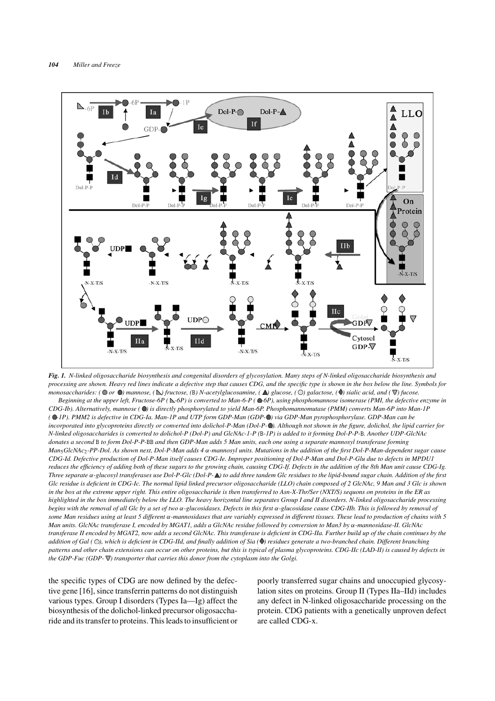

*Fig. 1. N-linked oligosaccharide biosynthesis and congenital disorders of glycosylation. Many steps of N-linked oligosaccharide biosynthesis and processing are shown. Heavy red lines indicate a defective step that causes CDG, and the specific type is shown in the box below the line. Symbols for monosaccharides: ( or ) mannose, ( ) fructose, (*B*) N-acetylglucosamine, ( ) glucose, ( ) galactose, ( ) sialic acid, and ( ) fucose.*

*Beginning at the upper left, Fructose-6P ( -6P) is converted to Man-6-P ( -6P), using phosphomannose isomerase (PMI, the defective enzyme in CDG-Ib). Alternatively, mannose ( ) is directly phosphorylated to yield Man-6P. Phosphomannomutase (PMM) converts Man-6P into Man-1P ( -1P). PMM2 is defective in CDG-Ia. Man-1P and UTP form GDP-Man (GDP- ) via GDP-Man pyrophosphorylase. GDP-Man can be incorporated into glycoproteins directly or converted into dolichol-P-Man (Dol-P- ). Although not shown in the figure, dolichol, the lipid carrier for N-linked oligosaccharides is converted to dolichol-P (Dol-P) and GlcNAc-1-P (*B*-1P) is added to it forming Dol-P-P-*B*. Another UDP-GlcNAc donates a second* B *to form Dol-P-P-*BB *and then GDP-Man adds 5 Man units, each one using a separate mannosyl transferase forming Man*5*GlcNAc*2*-PP-Dol. As shown next, Dol-P-Man adds 4* α*-mannosyl units. Mutations in the addition of the first Dol-P-Man-dependent sugar cause CDG-Id. Defective production of Dol-P-Man itself causes CDG-Ie. Improper positioning of Dol-P-Man and Dol-P-Glu due to defects in MPDU1 reduces the efficiency of adding both of these sugars to the growing chain, causing CDG-If. Defects in the addition of the 8th Man unit cause CDG-Ig. Three separate* α*-glucosyl transferases use Dol-P-Glc (Dol-P- ) to add three tandem Glc residues to the lipid-bound sugar chain. Addition of the first Glc residue is deficient in CDG-Ic. The normal lipid linked precursor oligosaccharide (LLO) chain composed of 2 GlcNAc, 9 Man and 3 Glc is shown in the box at the extreme upper right. This entire oligosaccharide is then transferred to Asn-X-Thr/Ser (NXT/S) sequons on proteins in the ER as highlighted in the box immediately below the LLO. The heavy horizontal line separates Group I and II disorders. N-linked oligosaccharide processing begins with the removal of all Glc by a set of two* α*-glucosidases. Defects in this first* α*-glucosidase cause CDG-IIb. This is followed by removal of some Man residues using at least 5 different* α*-mannosidases that are variably expressed in different tissues. These lead to production of chains with 5 Man units. GlcNAc transferase I, encoded by MGAT1, adds a GlcNAc residue followed by conversion to Man3 by* α*-mannosidase-II. GlcNAc transferase II encoded by MGAT2, now adds a second GlcNAc. This transferase is deficient in CDG-IIa. Further build up of the chain continues by the addition of Gal ( ), which is deficient in CDG-IId, and finally addition of Sia ( ) residues generate a two-branched chain. Different branching patterns and other chain extensions can occur on other proteins, but this is typical of plasma glycoproteins. CDG-IIc (LAD-II) is caused by defects in the GDP-Fuc (GDP- ) transporter that carries this donor from the cytoplasm into the Golgi.*

the specific types of CDG are now defined by the defective gene [16], since transferrin patterns do not distinguish various types. Group I disorders (Types Ia—Ig) affect the biosynthesis of the dolichol-linked precursor oligosaccharide and its transfer to proteins. This leads to insufficient or poorly transferred sugar chains and unoccupied glycosylation sites on proteins. Group II (Types IIa–IId) includes any defect in N-linked oligosaccharide processing on the protein. CDG patients with a genetically unproven defect are called CDG-x.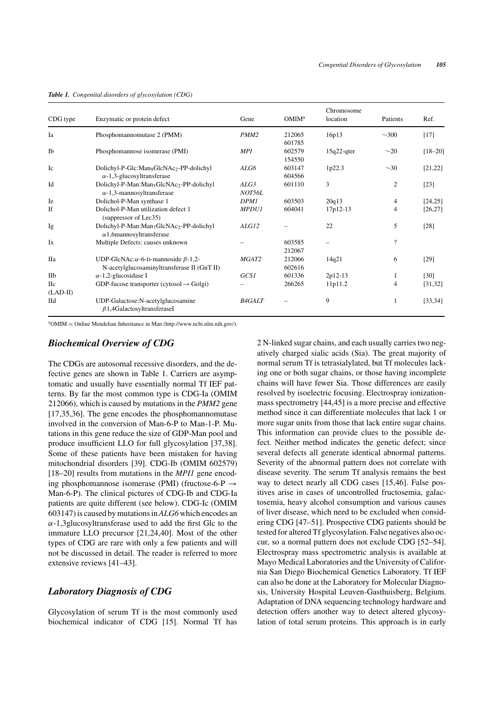| CDG type                 | Enzymatic or protein defect                                                                           | Gene             | <b>OMIMa</b>     | Chromosome<br>location | Patients                 | Ref.      |
|--------------------------|-------------------------------------------------------------------------------------------------------|------------------|------------------|------------------------|--------------------------|-----------|
| Ia                       | Phosphomannomutase 2 (PMM)                                                                            | PMM <sub>2</sub> | 212065<br>601785 | 16p13                  | $\sim$ 300               | $[17]$    |
| Ib                       | Phosphomannose isomerase (PMI)                                                                        | <b>MPI</b>       | 602579<br>154550 | $15q22$ -qter          | $\sim$ 20                | $[18-20]$ |
| Ic                       | Dolichyl-P-Glc:Man <sub>9</sub> GlcNAc <sub>2</sub> -PP-dolichyl<br>$\alpha$ -1,3-glucosyltransferase | ALG6             | 603147<br>604566 | 1p22.3                 | $\sim 30$                | [21, 22]  |
| Id                       | Dolichyl-P-Man:Man <sub>5</sub> GlcNAc <sub>2</sub> -PP-dolichyl<br>$\alpha$ -1,3-mannosyltransferase | ALG3<br>NOT56L   | 601110           | 3                      | $\mathfrak{2}$           | $[23]$    |
| Ie                       | Dolichol-P-Man synthase 1                                                                             | DPM1             | 603503           | 20q13                  | 4                        | [24, 25]  |
| If                       | Dolichol-P-Man utilization defect 1<br>(suppressor of Lec35)                                          | <b>MPDU1</b>     | 604041           | 17p12-13               | 4                        | [26, 27]  |
| Ig                       | Dolichyl-P-Man:Man <sub>7</sub> GlcNAc <sub>2</sub> -PP-dolichyl<br>$\alpha$ 1,6mannosyltransferase   | ALGI2            |                  | 22                     | 5                        | $[28]$    |
| Ix                       | Multiple Defects: causes unknown                                                                      |                  | 603585<br>212067 |                        | $\overline{\mathcal{L}}$ |           |
| IIa                      | UDP-GlcNAc: $\alpha$ -6-D-mannoside $\beta$ -1,2-<br>N-acetylglucosaminyltransferase II (GnT II)      | MGAT2            | 212066<br>602616 | 14q21                  | 6                        | $[29]$    |
| <b>IIb</b>               | $\alpha$ -1,2-glucosidase I                                                                           | GCS1             | 601336           | $2p12-13$              | 1                        | $[30]$    |
| <b>IIc</b><br>$(LAD-II)$ | GDP-fucose transporter (cytosol $\rightarrow$ Golgi)                                                  |                  | 266265           | 11p11.2                | 4                        | [31, 32]  |
| Пd                       | UDP-Galactose:N-acetylglucosamine<br>$\beta$ 1,4GalactosyltransferaseI                                | <b>B4GALT</b>    |                  | 9                      | 1                        | [33, 34]  |

#### *Table 1. Congenital disorders of glycosylation (CDG)*

 $a<sup>a</sup>OMIM = Online Mendelian Inheritance in Man (<http://www.ncbi.nlm.nih.gov/>).$ 

## *Biochemical Overview of CDG*

The CDGs are autosomal recessive disorders, and the defective genes are shown in Table 1. Carriers are asymptomatic and usually have essentially normal Tf IEF patterns. By far the most common type is CDG-Ia (OMIM 212066), which is caused by mutations in the *PMM2* gene [17,35,36]. The gene encodes the phosphomannomutase involved in the conversion of Man-6-P to Man-1-P. Mutations in this gene reduce the size of GDP-Man pool and produce insufficient LLO for full glycosylation [37,38]. Some of these patients have been mistaken for having mitochondrial disorders [39]. CDG-Ib (OMIM 602579) [18–20] results from mutations in the *MPI1* gene encoding phosphomannose isomerase (PMI) (fructose-6-P  $\rightarrow$ Man-6-P). The clinical pictures of CDG-Ib and CDG-Ia patients are quite different (see below). CDG-Ic (OMIM 603147) is caused by mutations in*ALG6* which encodes an  $\alpha$ -1,3glucosyltransferase used to add the first Glc to the immature LLO precursor [21,24,40]. Most of the other types of CDG are rare with only a few patients and will not be discussed in detail. The reader is referred to more extensive reviews [41–43].

# *Laboratory Diagnosis of CDG*

Glycosylation of serum Tf is the most commonly used biochemical indicator of CDG [15]. Normal Tf has 2 N-linked sugar chains, and each usually carries two negatively charged sialic acids (Sia). The great majority of normal serum Tf is tetrasialylated, but Tf molecules lacking one or both sugar chains, or those having incomplete chains will have fewer Sia. Those differences are easily resolved by isoelectric focusing. Electrospray ionizationmass spectrometry [44,45] is a more precise and effective method since it can differentiate molecules that lack 1 or more sugar units from those that lack entire sugar chains. This information can provide clues to the possible defect. Neither method indicates the genetic defect; since several defects all generate identical abnormal patterns. Severity of the abnormal pattern does not correlate with disease severity. The serum Tf analysis remains the best way to detect nearly all CDG cases [15,46]. False positives arise in cases of uncontrolled fructosemia, galactosemia, heavy alcohol consumption and various causes of liver disease, which need to be excluded when considering CDG [47–51]. Prospective CDG patients should be tested for altered Tf glycosylation. False negatives also occur, so a normal pattern does not exclude CDG [52–54]. Electrospray mass spectrometric analysis is available at Mayo Medical Laboratories and the University of California San Diego Biochemical Genetics Laboratory. Tf IEF can also be done at the Laboratory for Molecular Diagnosis, University Hospital Leuven-Gasthuisberg, Belgium. Adaptation of DNA sequencing technology hardware and detection offers another way to detect altered glycosylation of total serum proteins. This approach is in early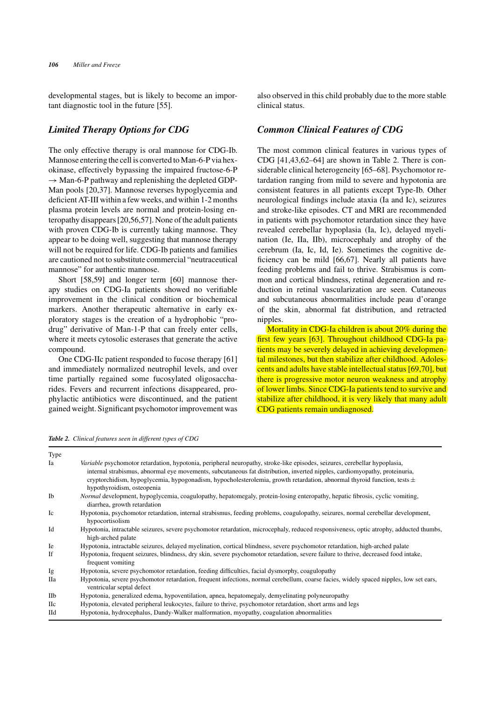developmental stages, but is likely to become an important diagnostic tool in the future [55].

# *Limited Therapy Options for CDG*

The only effective therapy is oral mannose for CDG-Ib. Mannose entering the cell is converted to Man-6-P via hexokinase, effectively bypassing the impaired fructose-6-P  $\rightarrow$  Man-6-P pathway and replenishing the depleted GDP-Man pools [20,37]. Mannose reverses hypoglycemia and deficient AT-III within a few weeks, and within 1-2 months plasma protein levels are normal and protein-losing enteropathy disappears [20,56,57]. None of the adult patients with proven CDG-Ib is currently taking mannose. They appear to be doing well, suggesting that mannose therapy will not be required for life. CDG-Ib patients and families are cautioned not to substitute commercial "neutraceutical mannose" for authentic mannose.

Short [58,59] and longer term [60] mannose therapy studies on CDG-Ia patients showed no verifiable improvement in the clinical condition or biochemical markers. Another therapeutic alternative in early exploratory stages is the creation of a hydrophobic "prodrug" derivative of Man-1-P that can freely enter cells, where it meets cytosolic esterases that generate the active compound.

One CDG-IIc patient responded to fucose therapy [61] and immediately normalized neutrophil levels, and over time partially regained some fucosylated oligosaccharides. Fevers and recurrent infections disappeared, prophylactic antibiotics were discontinued, and the patient gained weight. Significant psychomotor improvement was also observed in this child probably due to the more stable clinical status.

# *Common Clinical Features of CDG*

The most common clinical features in various types of CDG [41,43,62–64] are shown in Table 2. There is considerable clinical heterogeneity [65–68]. Psychomotor retardation ranging from mild to severe and hypotonia are consistent features in all patients except Type-Ib. Other neurological findings include ataxia (Ia and Ic), seizures and stroke-like episodes. CT and MRI are recommended in patients with psychomotor retardation since they have revealed cerebellar hypoplasia (Ia, Ic), delayed myelination (Ie, IIa, IIb), microcephaly and atrophy of the cerebrum (Ia, Ic, Id, Ie). Sometimes the cognitive deficiency can be mild [66,67]. Nearly all patients have feeding problems and fail to thrive. Strabismus is common and cortical blindness, retinal degeneration and reduction in retinal vascularization are seen. Cutaneous and subcutaneous abnormalities include peau d'orange of the skin, abnormal fat distribution, and retracted nipples.

Mortality in CDG-Ia children is about 20% during the first few years [63]. Throughout childhood CDG-Ia patients may be severely delayed in achieving developmental milestones, but then stabilize after childhood. Adolescents and adults have stable intellectual status [69,70], but there is progressive motor neuron weakness and atrophy of lower limbs. Since CDG-Ia patients tend to survive and stabilize after childhood, it is very likely that many adult CDG patients remain undiagnosed.

*Table 2. Clinical features seen in different types of CDG*

| Type |                                                                                                                                                                                                                                                                                                                                                                                                                       |
|------|-----------------------------------------------------------------------------------------------------------------------------------------------------------------------------------------------------------------------------------------------------------------------------------------------------------------------------------------------------------------------------------------------------------------------|
| Ia   | Variable psychomotor retardation, hypotonia, peripheral neuropathy, stroke-like episodes, seizures, cerebellar hypoplasia,<br>internal strabismus, abnormal eye movements, subcutaneous fat distribution, inverted nipples, cardiomyopathy, proteinuria,<br>cryptorchidism, hypoglycemia, hypogonadism, hypocholesterolemia, growth retardation, abnormal thyroid function, tests $\pm$<br>hypothyroidism, osteopenia |
| Ib   | <i>Normal</i> development, hypoglycemia, coagulopathy, hepatomegaly, protein-losing enteropathy, hepatic fibrosis, cyclic vomiting,<br>diarrhea, growth retardation                                                                                                                                                                                                                                                   |
| Ic   | Hypotonia, psychomotor retardation, internal strabismus, feeding problems, coagulopathy, seizures, normal cerebellar development,<br>hypocortisolism                                                                                                                                                                                                                                                                  |
| Id   | Hypotonia, intractable seizures, severe psychomotor retardation, microcephaly, reduced responsiveness, optic atrophy, adducted thumbs,<br>high-arched palate                                                                                                                                                                                                                                                          |
| Ie   | Hypotonia, intractable seizures, delayed myelination, cortical blindness, severe psychomotor retardation, high-arched palate                                                                                                                                                                                                                                                                                          |
| If   | Hypotonia, frequent seizures, blindness, dry skin, severe psychomotor retardation, severe failure to thrive, decreased food intake,<br>frequent vomiting                                                                                                                                                                                                                                                              |
| Ig   | Hypotonia, severe psychomotor retardation, feeding difficulties, facial dysmorphy, coagulopathy                                                                                                                                                                                                                                                                                                                       |
| Пa   | Hypotonia, severe psychomotor retardation, frequent infections, normal cerebellum, coarse facies, widely spaced nipples, low set ears,<br>ventricular septal defect                                                                                                                                                                                                                                                   |
| Пb   | Hypotonia, generalized edema, hypoventilation, apnea, hepatomegaly, demyelinating polyneuropathy                                                                                                                                                                                                                                                                                                                      |
| Пc   | Hypotonia, elevated peripheral leukocytes, failure to thrive, psychomotor retardation, short arms and legs                                                                                                                                                                                                                                                                                                            |
| Пd   | Hypotonia, hydrocephalus, Dandy-Walker malformation, myopathy, coagulation abnormalities                                                                                                                                                                                                                                                                                                                              |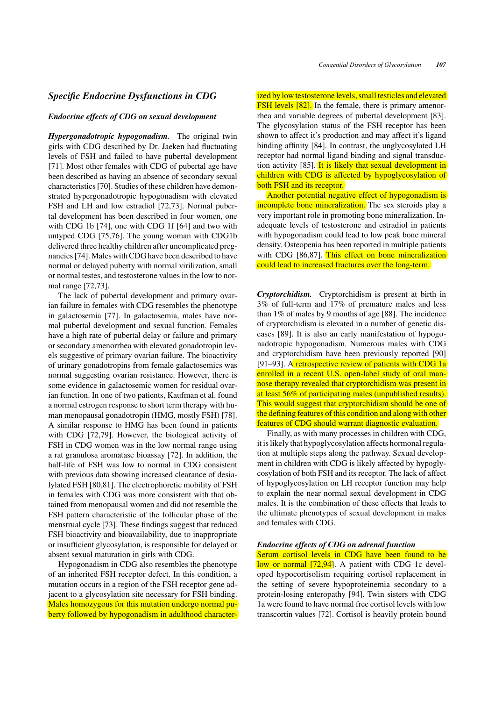# *Specific Endocrine Dysfunctions in CDG*

#### *Endocrine effects of CDG on sexual development*

*Hypergonadotropic hypogonadism.* The original twin girls with CDG described by Dr. Jaeken had fluctuating levels of FSH and failed to have pubertal development [71]. Most other females with CDG of pubertal age have been described as having an absence of secondary sexual characteristics [70]. Studies of these children have demonstrated hypergonadotropic hypogonadism with elevated FSH and LH and low estradiol [72,73]. Normal pubertal development has been described in four women, one with CDG 1b [74], one with CDG 1f [64] and two with untyped CDG [75,76]. The young woman with CDG1b delivered three healthy children after uncomplicated pregnancies [74]. Males with CDG have been described to have normal or delayed puberty with normal virilization, small or normal testes, and testosterone values in the low to normal range [72,73].

The lack of pubertal development and primary ovarian failure in females with CDG resembles the phenotype in galactosemia [77]. In galactosemia, males have normal pubertal development and sexual function. Females have a high rate of pubertal delay or failure and primary or secondary amenorrhea with elevated gonadotropin levels suggestive of primary ovarian failure. The bioactivity of urinary gonadotropins from female galactosemics was normal suggesting ovarian resistance. However, there is some evidence in galactosemic women for residual ovarian function. In one of two patients, Kaufman et al. found a normal estrogen response to short term therapy with human menopausal gonadotropin (HMG, mostly FSH) [78]. A similar response to HMG has been found in patients with CDG [72,79]. However, the biological activity of FSH in CDG women was in the low normal range using a rat granulosa aromatase bioassay [72]. In addition, the half-life of FSH was low to normal in CDG consistent with previous data showing increased clearance of desialylated FSH [80,81]. The electrophoretic mobility of FSH in females with CDG was more consistent with that obtained from menopausal women and did not resemble the FSH pattern characteristic of the follicular phase of the menstrual cycle [73]. These findings suggest that reduced FSH bioactivity and bioavailability, due to inappropriate or insufficient glycosylation, is responsible for delayed or absent sexual maturation in girls with CDG.

Hypogonadism in CDG also resembles the phenotype of an inherited FSH receptor defect. In this condition, a mutation occurs in a region of the FSH receptor gene adjacent to a glycosylation site necessary for FSH binding. Males homozygous for this mutation undergo normal puberty followed by hypogonadism in adulthood character-

ized by low testosterone levels, small testicles and elevated **FSH levels [82].** In the female, there is primary amenorrhea and variable degrees of pubertal development [83]. The glycosylation status of the FSH receptor has been shown to affect it's production and may affect it's ligand binding affinity [84]. In contrast, the unglycosylated LH receptor had normal ligand binding and signal transduction activity [85]. It is likely that sexual development in children with CDG is affected by hypoglycosylation of both FSH and its receptor.

Another potential negative effect of hypogonadism is incomplete bone mineralization. The sex steroids play a very important role in promoting bone mineralization. Inadequate levels of testosterone and estradiol in patients with hypogonadism could lead to low peak bone mineral density. Osteopenia has been reported in multiple patients with CDG [86,87]. This effect on bone mineralization could lead to increased fractures over the long-term.

*Cryptorchidism.* Cryptorchidism is present at birth in 3% of full-term and 17% of premature males and less than 1% of males by 9 months of age [88]. The incidence of cryptorchidism is elevated in a number of genetic diseases [89]. It is also an early manifestation of hypogonadotropic hypogonadism. Numerous males with CDG and cryptorchidism have been previously reported [90] [91–93]. A retrospective review of patients with CDG 1a enrolled in a recent U.S. open-label study of oral mannose therapy revealed that cryptorchidism was present in at least 56% of participating males (unpublished results). This would suggest that cryptorchidism should be one of the defining features of this condition and along with other features of CDG should warrant diagnostic evaluation.

Finally, as with many processes in children with CDG, it is likely that hypoglycosylation affects hormonal regulation at multiple steps along the pathway. Sexual development in children with CDG is likely affected by hypoglycosylation of both FSH and its receptor. The lack of affect of hypoglycosylation on LH receptor function may help to explain the near normal sexual development in CDG males. It is the combination of these effects that leads to the ultimate phenotypes of sexual development in males and females with CDG.

#### *Endocrine effects of CDG on adrenal function*

Serum cortisol levels in CDG have been found to be low or normal [72,94]. A patient with CDG 1c developed hypocortisolism requiring cortisol replacement in the setting of severe hypoproteinemia secondary to a protein-losing enteropathy [94]. Twin sisters with CDG 1a were found to have normal free cortisol levels with low transcortin values [72]. Cortisol is heavily protein bound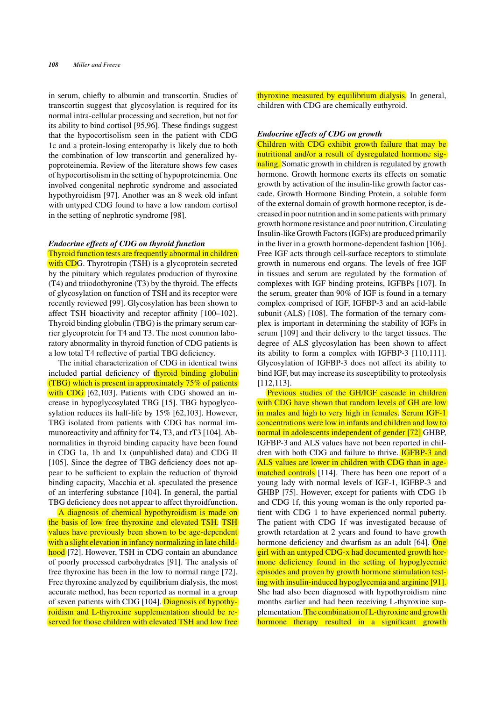in serum, chiefly to albumin and transcortin. Studies of transcortin suggest that glycosylation is required for its normal intra-cellular processing and secretion, but not for its ability to bind cortisol [95,96]. These findings suggest that the hypocortisolism seen in the patient with CDG 1c and a protein-losing enteropathy is likely due to both the combination of low transcortin and generalized hypoproteinemia. Review of the literature shows few cases of hypocortisolism in the setting of hypoproteinemia. One involved congenital nephrotic syndrome and associated hypothyroidism [97]. Another was an 8 week old infant with untyped CDG found to have a low random cortisol in the setting of nephrotic syndrome [98].

### *Endocrine effects of CDG on thyroid function*

Thyroid function tests are frequently abnormal in children with CDG. Thyrotropin (TSH) is a glycoprotein secreted by the pituitary which regulates production of thyroxine (T4) and triiodothyronine (T3) by the thyroid. The effects of glycosylation on function of TSH and its receptor were recently reviewed [99]. Glycosylation has been shown to affect TSH bioactivity and receptor affinity [100–102]. Thyroid binding globulin (TBG) is the primary serum carrier glycoprotein for T4 and T3. The most common laboratory abnormality in thyroid function of CDG patients is a low total T4 reflective of partial TBG deficiency.

The initial characterization of CDG in identical twins included partial deficiency of thyroid binding globulin (TBG) which is present in approximately 75% of patients with  $CDG$  [62,103]. Patients with CDG showed an increase in hypoglycosylated TBG [15]. TBG hypoglycosylation reduces its half-life by 15% [62,103]. However, TBG isolated from patients with CDG has normal immunoreactivity and affinity for T4, T3, and rT3 [104]. Abnormalities in thyroid binding capacity have been found in CDG 1a, 1b and 1x (unpublished data) and CDG II [105]. Since the degree of TBG deficiency does not appear to be sufficient to explain the reduction of thyroid binding capacity, Macchia et al. speculated the presence of an interfering substance [104]. In general, the partial TBG deficiency does not appear to affect thyroidfunction.

A diagnosis of chemical hypothyroidism is made on the basis of low free thyroxine and elevated TSH. TSH values have previously been shown to be age-dependent with a slight elevation in infancy normalizing in late childhood [72]. However, TSH in CDG contain an abundance of poorly processed carbohydrates [91]. The analysis of free thyroxine has been in the low to normal range [72]. Free thyroxine analyzed by equilibrium dialysis, the most accurate method, has been reported as normal in a group of seven patients with CDG [104]. Diagnosis of hypothyroidism and L-thyroxine supplementation should be reserved for those children with elevated TSH and low free thyroxine measured by equilibrium dialysis. In general, children with CDG are chemically euthyroid.

#### *Endocrine effects of CDG on growth*

Children with CDG exhibit growth failure that may be nutritional and/or a result of dysregulated hormone signaling. Somatic growth in children is regulated by growth hormone. Growth hormone exerts its effects on somatic growth by activation of the insulin-like growth factor cascade. Growth Hormone Binding Protein, a soluble form of the external domain of growth hormone receptor, is decreased in poor nutrition and in some patients with primary growth hormone resistance and poor nutrition. Circulating Insulin-like Growth Factors (IGFs) are produced primarily in the liver in a growth hormone-dependent fashion [106]. Free IGF acts through cell-surface receptors to stimulate growth in numerous end organs. The levels of free IGF in tissues and serum are regulated by the formation of complexes with IGF binding proteins, IGFBPs [107]. In the serum, greater than 90% of IGF is found in a ternary complex comprised of IGF, IGFBP-3 and an acid-labile subunit (ALS) [108]. The formation of the ternary complex is important in determining the stability of IGFs in serum [109] and their delivery to the target tissues. The degree of ALS glycosylation has been shown to affect its ability to form a complex with IGFBP-3 [110,111]. Glycosylation of IGFBP-3 does not affect its ability to bind IGF, but may increase its susceptibility to proteolysis [112,113].

Previous studies of the GH/IGF cascade in children with CDG have shown that random levels of GH are low in males and high to very high in females. Serum IGF-1 concentrations were low in infants and children and low to normal in adolescents independent of gender [72] GHBP, IGFBP-3 and ALS values have not been reported in children with both CDG and failure to thrive. **IGFBP-3 and** ALS values are lower in children with CDG than in agematched controls [114]. There has been one report of a young lady with normal levels of IGF-1, IGFBP-3 and GHBP [75]. However, except for patients with CDG 1b and CDG 1f, this young woman is the only reported patient with CDG 1 to have experienced normal puberty. The patient with CDG 1f was investigated because of growth retardation at 2 years and found to have growth hormone deficiency and dwarfism as an adult [64]. One girl with an untyped CDG-x had documented growth hormone deficiency found in the setting of hypoglycemic episodes and proven by growth hormone stimulation testing with insulin-induced hypoglycemia and arginine [91]. She had also been diagnosed with hypothyroidism nine months earlier and had been receiving L-thyroxine supplementation. The combination of L-thyroxine and growth hormone therapy resulted in a significant growth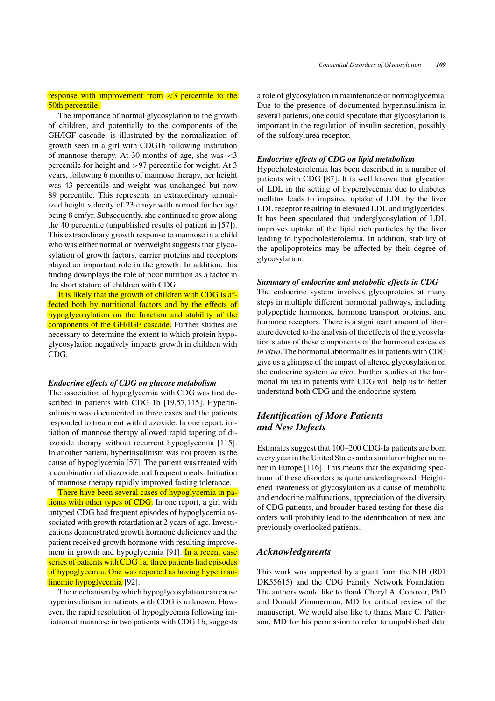The importance of normal glycosylation to the growth of children, and potentially to the components of the GH/IGF cascade, is illustrated by the normalization of growth seen in a girl with CDG1b following institution of mannose therapy. At 30 months of age, she was  $\lt$ 3 percentile for height and >97 percentile for weight. At 3 years, following 6 months of mannose therapy, her height was 43 percentile and weight was unchanged but now 89 percentile. This represents an extraordinary annualized height velocity of 23 cm/yr with normal for her age being 8 cm/yr. Subsequently, she continued to grow along the 40 percentile (unpublished results of patient in [57]). This extraordinary growth response to mannose in a child who was either normal or overweight suggests that glycosylation of growth factors, carrier proteins and receptors played an important role in the growth. In addition, this finding downplays the role of poor nutrition as a factor in the short stature of children with CDG.

It is likely that the growth of children with CDG is affected both by nutritional factors and by the effects of hypoglycosylation on the function and stability of the components of the GH/IGF cascade. Further studies are necessary to determine the extent to which protein hypoglycosylation negatively impacts growth in children with CDG.

#### *Endocrine effects of CDG on glucose metabolism*

The association of hypoglycemia with CDG was first described in patients with CDG 1b [19,57,115]. Hyperinsulinism was documented in three cases and the patients responded to treatment with diazoxide. In one report, initiation of mannose therapy allowed rapid tapering of diazoxide therapy without recurrent hypoglycemia [115]. In another patient, hyperinsulinism was not proven as the cause of hypoglycemia [57]. The patient was treated with a combination of diazoxide and frequent meals. Initiation of mannose therapy rapidly improved fasting tolerance.

There have been several cases of hypoglycemia in patients with other types of CDG. In one report, a girl with untyped CDG had frequent episodes of hypoglycemia associated with growth retardation at 2 years of age. Investigations demonstrated growth hormone deficiency and the patient received growth hormone with resulting improvement in growth and hypoglycemia [91]. In a recent case series of patients with CDG 1a, three patients had episodes of hypoglycemia. One was reported as having hyperinsulinemic hypoglycemia [92].

The mechanism by which hypoglycosylation can cause hyperinsulinism in patients with CDG is unknown. However, the rapid resolution of hypoglycemia following initiation of mannose in two patients with CDG 1b, suggests a role of glycosylation in maintenance of normoglycemia. Due to the presence of documented hyperinsulinism in several patients, one could speculate that glycosylation is important in the regulation of insulin secretion, possibly of the sulfonylurea receptor.

#### *Endocrine effects of CDG on lipid metabolism*

Hypocholesterolemia has been described in a number of patients with CDG [87]. It is well known that glycation of LDL in the setting of hyperglycemia due to diabetes mellitus leads to impaired uptake of LDL by the liver LDL receptor resulting in elevated LDL and triglycerides. It has been speculated that underglycosylation of LDL improves uptake of the lipid rich particles by the liver leading to hypocholesterolemia. In addition, stability of the apolipoproteins may be affected by their degree of glycosylation.

#### *Summary of endocrine and metabolic effects in CDG*

The endocrine system involves glycoproteins at many steps in multiple different hormonal pathways, including polypeptide hormones, hormone transport proteins, and hormone receptors. There is a significant amount of literature devoted to the analysis of the effects of the glycosylation status of these components of the hormonal cascades *in vitro*. The hormonal abnormalities in patients with CDG give us a glimpse of the impact of altered glycosylation on the endocrine system *in vivo*. Further studies of the hormonal milieu in patients with CDG will help us to better understand both CDG and the endocrine system.

# *Identification of More Patients and New Defects*

Estimates suggest that 100–200 CDG-Ia patients are born every year in the United States and a similar or higher number in Europe [116]. This means that the expanding spectrum of these disorders is quite underdiagnosed. Heightened awareness of glycosylation as a cause of metabolic and endocrine malfunctions, appreciation of the diversity of CDG patients, and broader-based testing for these disorders will probably lead to the identification of new and previously overlooked patients.

## *Acknowledgments*

This work was supported by a grant from the NIH (R01 DK55615) and the CDG Family Network Foundation. The authors would like to thank Cheryl A. Conover, PhD and Donald Zimmerman, MD for critical review of the manuscript. We would also like to thank Marc C. Patterson, MD for his permission to refer to unpublished data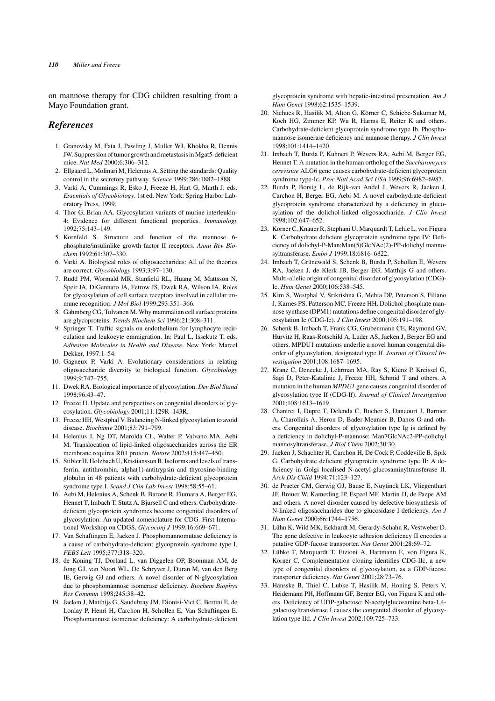on mannose therapy for CDG children resulting from a Mayo Foundation grant.

## *References*

- 1. Granovsky M, Fata J, Pawling J, Muller WJ, Khokha R, Dennis JW. Suppression of tumor growth and metastasis in Mgat5-deficient mice. *Nat Med* 2000;6:306–312.
- 2. Ellgaard L, Molinari M, Helenius A. Setting the standards: Quality control in the secretory pathway. *Science* 1999;286:1882–1888.
- 3. Varki A, Cummings R, Esko J, Freeze H, Hart G, Marth J, eds. *Essentials of Glycobiology*. 1st ed. New York: Spring Harbor Laboratory Press, 1999.
- 4. Thor G, Brian AA. Glycosylation variants of murine interleukin-4: Evidence for different functional properties. *Immunology* 1992;75:143–149.
- 5. Kornfeld S. Structure and function of the mannose 6 phosphate/insulinlike growth factor II receptors. *Annu Rev Biochem* 1992;61:307–330.
- 6. Varki A. Biological roles of oligosaccharides: All of the theories are correct. *Glycobiology* 1993;3:97–130.
- 7. Rudd PM, Wormald MR, Stanfield RL, Huang M, Mattsson N, Speir JA, DiGennaro JA, Fetrow JS, Dwek RA, Wilson IA. Roles for glycosylation of cell surface receptors involved in cellular immune recognition. *J Mol Biol* 1999;293:351–366.
- 8. Gahmberg CG, Tolvanen M. Why mammalian cell surface proteins are glycoproteins. *Trends Biochem Sci* 1996;21:308–311.
- 9. Springer T. Traffic signals on endothelium for lymphocyte recirculation and leukocyte emmigration. In: Paul L, Issekutz T, eds. *Adhesion Molecules in Health and Disease*. New York: Marcel Dekker, 1997:1–54.
- 10. Gagneux P, Varki A. Evolutionary considerations in relating oligosaccharide diversity to biological function. *Glycobiology* 1999;9:747–755.
- 11. Dwek RA. Biological importance of glycosylation. *Dev Biol Stand* 1998;96:43–47.
- 12. Freeze H. Update and perspectives on congenital disorders of glycosylation. *Glycobiology* 2001;11:129R–143R.
- 13. Freeze HH, Westphal V. Balancing N-linked glycosylation to avoid disease. *Biochimie* 2001;83:791–799.
- 14. Helenius J, Ng DT, Marolda CL, Walter P, Valvano MA, Aebi M. Translocation of lipid-linked oligosaccharides across the ER membrane requires Rft1 protein. *Nature* 2002;415:447–450.
- 15. Stibler H, Holzbach U, Kristiansson B. Isoforms and levels of transferrin, antithrombin, alpha(1)-antitrypsin and thyroxine-binding globulin in 48 patients with carbohydrate-deficient glycoprotein syndrome type I. *Scand J Clin Lab Invest* 1998;58:55–61.
- 16. Aebi M, Helenius A, Schenk B, Barone R, Fiumara A, Berger EG, Hennet T, Imbach T, Stutz A, Bjursell C and others. Carbohydratedeficient glycoprotein syndromes become congenital disorders of glycosylation: An updated nomenclature for CDG. First International Workshop on CDGS. *Glycoconj J* 1999;16:669–671.
- 17. Van Schaftingen E, Jaeken J. Phosphomannomutase deficiency is a cause of carbohydrate-deficient glycoprotein syndrome type I. *FEBS Lett* 1995;377:318–320.
- 18. de Koning TJ, Dorland L, van Diggelen OP, Boonman AM, de Jong GJ, van Noort WL, De Schryver J, Duran M, van den Berg IE, Gerwig GJ and others. A novel disorder of N-glycosylation due to phosphomannose isomerase deficiency. *Biochem Biophys Res Commun* 1998;245:38–42.
- 19. Jaeken J, Matthijs G, Saudubray JM, Dionisi-Vici C, Bertini E, de Lonlay P, Henri H, Carchon H, Schollen E, Van Schaftingen E. Phosphomannose isomerase deficiency: A carbohydrate-deficient

glycoprotein syndrome with hepatic-intestinal presentation. *Am J Hum Genet* 1998;62:1535–1539.

- 20. Niehues R, Hasilik M, Alton G, Körner C, Schiebe-Sukumar M, Koch HG, Zimmer KP, Wu R, Harms E, Reiter K and others. Carbohydrate-deficient glycoprotein syndrome type Ib. Phosphomannose isomerase deficiency and mannose therapy. *J Clin Invest* 1998;101:1414–1420.
- 21. Imbach T, Burda P, Kuhnert P, Wevers RA, Aebi M, Berger EG, Hennet T. A mutation in the human ortholog of the *Saccharomyces cerevisiae* ALG6 gene causes carbohydrate-deficient glycoprotein syndrome type-Ic. *Proc Natl Acad Sci USA* 1999;96:6982–6987.
- 22. Burda P, Borsig L, de Rijk-van Andel J, Wevers R, Jaeken J, Carchon H, Berger EG, Aebi M. A novel carbohydrate-deficient glycoprotein syndrome characterized by a deficiency in glucosylation of the dolichol-linked oligosaccharide. *J Clin Invest* 1998;102:647–652.
- 23. Korner C, Knauer R, Stephani U, Marquardt T, Lehle L, von Figura K. Carbohydrate deficient glycoprotein syndrome type IV: Deficiency of dolichyl-P-Man:Man(5)GlcNAc(2)-PP-dolichyl mannosyltransferase. *Embo J* 1999;18:6816–6822.
- 24. Imbach T, Grünewald S, Schenk B, Burda P, Schollen E, Wevers RA, Jaeken J, de Klerk JB, Berger EG, Matthijs G and others. Multi-allelic origin of congenital disorder of glycosylation (CDG)- Ic. *Hum Genet* 2000;106:538–545.
- 25. Kim S, Westphal V, Srikrishna G, Mehta DP, Peterson S, Filiano J, Karnes PS, Patterson MC, Freeze HH. Dolichol phosphate mannose synthase (DPM1) mutations define congenital disorder of glycosylation Ie (CDG-Ie). *J Clin Invest* 2000;105:191–198.
- 26. Schenk B, Imbach T, Frank CG, Grubenmann CE, Raymond GV, Hurvitz H, Raas-Rotschild A, Luder AS, Jaeken J, Berger EG and others. MPDU1 mutations underlie a novel human congenital disorder of glycosylation, designated type If. *Journal of Clinical Investigation* 2001;108:1687–1695.
- 27. Kranz C, Denecke J, Lehrman MA, Ray S, Kienz P, Kreissel G, Sagi D, Peter-Katalinic J, Freeze HH, Schmid T and others. A mutation in the human *MPDU1* gene causes congenital disorder of glycosylation type If (CDG-If). *Journal of Clinical Investigation* 2001;108:1613–1619.
- 28. Chantret I, Dupre T, Delenda C, Bucher S, Dancourt J, Barnier A, Charollais A, Heron D, Bader-Meunier B, Danos O and others. Congenital disorders of glycosylation type Ig is defined by a deficiency in dolichyl-P-mannose: Man7GlcNAc2-PP-dolichyl mannosyltransferase. *J Biol Chem* 2002;30:30.
- 29. Jaeken J, Schachter H, Carchon H, De Cock P, Coddeville B, Spik G. Carbohydrate deficient glycoprotein syndrome type II: A deficiency in Golgi localised N-acetyl-glucosaminyltransferase II. *Arch Dis Child* 1994;71:123–127.
- 30. de Praeter CM, Gerwig GJ, Bause E, Nuytinck LK, Vliegenthart JF, Breuer W, Kamerling JP, Espeel MF, Martin JJ, de Paepe AM and others. A novel disorder caused by defective biosynthesis of N-linked oligosaccharides due to glucosidase I deficiency. *Am J Hum Genet* 2000;66:1744–1756.
- 31. Luhn K, Wild MK, Eckhardt M, Gerardy-Schahn R, Vestweber D. ¨ The gene defective in leukocyte adhesion deficiency II encodes a putative GDP-fucose transporter. *Nat Genet* 2001;28:69–72.
- 32. Lubke T, Marquardt T, Etzioni A, Hartmann E, von Figura K, ¨ Korner C. Complementation cloning identifies CDG-IIc, a new type of congenital disorders of glycosylation, as a GDP-fucose transporter deficiency. *Nat Genet* 2001;28:73–76.
- 33. Hansske B, Thiel C, Lubke T, Hasilik M, Honing S, Peters V, Heidemann PH, Hoffmann GF, Berger EG, von Figura K and others. Deficiency of UDP-galactose: N-acetylglucosamine beta-1,4 galactosyltransferase I causes the congenital disorder of glycosylation type IId. *J Clin Invest* 2002;109:725–733.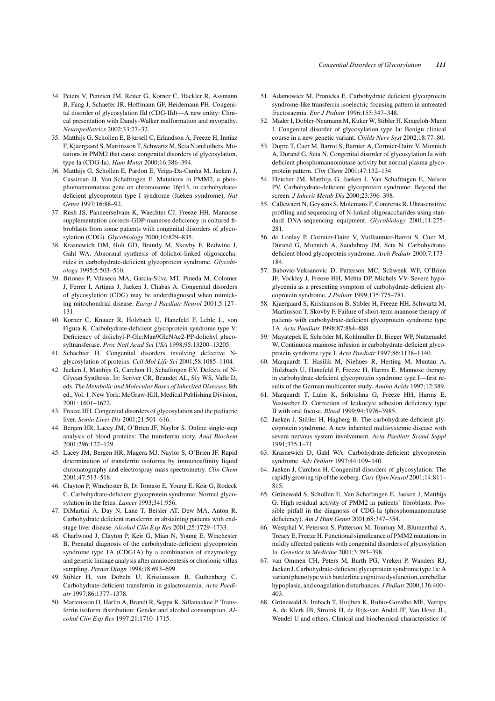- 34. Peters V, Penzien JM, Reiter G, Korner C, Hackler R, Assmann B, Fang J, Schaefer JR, Hoffmann GF, Heidemann PH. Congenital disorder of glycosylation IId (CDG-IId)—A new entity: Clinical presentation with Dandy-Walker malformation and myopathy. *Neuropediatrics* 2002;33:27–32.
- 35. Matthijs G, Schollen E, Bjursell C, Erlandson A, Freeze H, Imtiaz F, Kjaergaard S, Martinsson T, Schwartz M, Seta N and others. Mutations in PMM2 that cause congenital disorders of glycosylation, type Ia (CDG-Ia). *Hum Mutat* 2000;16:386–394.
- 36. Matthijs G, Schollen E, Pardon E, Veiga-Da-Cunha M, Jaeken J, Cassiman JJ, Van Schaftingen E. Mutations in PMM2, a phosphomannomutase gene on chromosome 16p13, in carbohydratedeficient glycoprotein type I syndrome (Jaeken syndrome). *Nat Genet* 1997;16:88–92.
- 37. Rush JS, Panneerselvam K, Waechter CJ, Freeze HH. Mannose supplementation corrects GDP-mannose deficiency in cultured fibroblasts from some patients with congenital disorders of glycosylation (CDG). *Glycobiology* 2000;10:829–835.
- 38. Krasnewich DM, Holt GD, Brantly M, Skovby F, Redwine J, Gahl WA. Abnormal synthesis of dolichol-linked oligosaccharides in carbohydrate-deficient glycoprotein syndrome. *Glycobiology* 1995;5:503–510.
- 39. Briones P, Vilaseca MA, Garcia-Silva MT, Pineda M, Colomer J, Ferrer I, Artigas J, Jaeken J, Chabas A. Congenital disorders of glycosylation (CDG) may be underdiagnosed when mimicking mitochondrial disease. *Europ J Paediatr Neurol* 2001;5:127– 131.
- 40. Korner C, Knauer R, Holzbach U, Hanefeld F, Lehle L, von Figura K. Carbohydrate-deficient glycoprotein syndrome type V: Deficiency of dolichyl-P-Glc:Man9GlcNAc2-PP-dolichyl glucosyltransferase. *Proc Natl Acad Sci USA* 1998;95:13200–13205.
- 41. Schachter H. Congenital disorders involving defective Nglycosylation of proteins. *Cell Mol Life Sci* 2001;58:1085–1104.
- 42. Jaeken J, Matthijs G, Carchon H, Schaftingen EV. Defects of N-Glycan Synthesis. In: Scriver CR, Beaudet AL, Sly WS, Valle D, eds. *The Metabolic and Molecular Bases of Inherited Diseases*, 8th ed., Vol. 1. New York: McGraw-Hill, Medical Publishing Division, 2001: 1601–1622.
- 43. Freeze HH. Congenital disorders of glycosylation and the pediatric liver. *Semin Liver Dis* 2001;21:501–616.
- 44. Bergen HR, Lacey JM, O'Brien JF, Naylor S. Online single-step analysis of blood proteins: The transferrin story. *Anal Biochem* 2001;296:122–129.
- 45. Lacey JM, Bergen HR, Magera MJ, Naylor S, O'Brien JF. Rapid determination of transferrin isoforms by immunoaffinity liquid chromatography and electrospray mass spectrometry. *Clin Chem* 2001;47:513–518.
- 46. Clayton P, Winchester B, Di Tomaso E, Young E, Keir G, Rodeck C. Carbohydrate-deficient glycoprotein syndrome: Normal glycosylation in the fetus. *Lancet* 1993;341:956.
- 47. DiMartini A, Day N, Lane T, Beisler AT, Dew MA, Anton R. Carbohydrate deficient transferrin in abstaining patients with endstage liver disease. *Alcohol Clin Exp Res* 2001;25:1729–1733.
- 48. Charlwood J, Clayton P, Keir G, Mian N, Young E, Winchester B. Prenatal diagnosis of the carbohydrate-deficient glycoprotein syndrome type 1A (CDG1A) by a combination of enzymology and genetic linkage analysis after amniocentesis or chorionic villus sampling. *Prenat Diagn* 1998;18:693–699.
- 49. Stibler H, von Dobeln U, Kristiansson B, Guthenberg C. Carbohydrate-deficient transferrin in galactosaemia. *Acta Paediatr* 1997;86:1377–1378.
- 50. Martensson O, Harlin A, Brandt R, Seppa K, Sillanaukee P. Transferrin isoform distribution: Gender and alcohol consumption. *Alcohol Clin Exp Res* 1997;21:1710–1715.
- 51. Adamowicz M, Pronicka E. Carbohydrate deficient glycoprotein syndrome-like transferrin isoelectric focusing pattern in untreated fructosaemia. *Eur J Pediatr* 1996;155:347–348.
- 52. Mader I, Dobler-Neumann M, Kuker W, Stibler H, Krageloh-Mann I. Congenital disorder of glycosylation type Ia: Benign clinical course in a new genetic variant. *Childs Nerv Syst* 2002;18:77–80.
- 53. Dupre T, Cuer M, Barrot S, Barnier A, Cormier-Daire V, Munnich A, Durand G, Seta N. Congenital disorder of glycosylation Ia with deficient phosphomannomutase activity but normal plasma glycoprotein pattern. *Clin Chem* 2001;47:132–134.
- 54. Fletcher JM, Matthijs G, Jaeken J, Van Schaftingen E, Nelson PV. Carbohydrate-deficient glycoprotein syndrome: Beyond the screen. *J Inherit Metab Dis* 2000;23:396–398.
- 55. Callewaert N, Geysens S, Molemans F, Contreras R. Ultrasensitive profiling and sequencing of N-linked oligosaccharides using standard DNA-sequencing equipment. *Glycobiology* 2001;11:275– 281.
- 56. de Lonlay P, Cormier-Daire V, Vuillaumier-Barrot S, Cuer M, Durand G, Munnich A, Saudubray JM, Seta N. Carbohydratedeficient blood glycoprotein syndrome. *Arch Pediatr* 2000;7:173– 184.
- 57. Babovic-Vuksanovic D, Patterson MC, Schwenk WF, O'Brien JF, Vockley J, Freeze HH, Mehta DP, Michels VV. Severe hypoglycemia as a presenting symptom of carbohydrate-deficient glycoprotein syndrome. *J Pediatr* 1999;135:775–781.
- 58. Kjaergaard S, Kristiansson B, Stibler H, Freeze HH, Schwartz M, Martinsson T, Skovby F. Failure of short-term mannose therapy of patients with carbohydrate-deficient glycoprotein syndrome type 1A. *Acta Paediatr* 1998;87:884–888.
- 59. Mayatepek E, Schröder M, Kohlmuller D, Bieger WP, Nutzenadel W. Continuous mannose infusion in carbohydrate-deficient glycoprotein syndrome type I. *Acta Paediatr* 1997;86:1138–1140.
- 60. Marquardt T, Hasilik M, Niehues R, Herting M, Muntau A, Holzbach U, Hanefeld F, Freeze H, Harms E. Mannose therapy in carbohydrate-deficient glycoprotein syndrome type I—first results of the German multicenter study. *Amino Acids* 1997;12:389.
- 61. Marquardt T, Luhn K, Srikrishna G, Freeze HH, Harms E, Vestweber D. Correction of leukocyte adhesion deficiency type II with oral fucose. *Blood* 1999;94:3976–3985.
- 62. Jaeken J, Stibler H, Hagberg B. The carbohydrate-deficient glycoprotein syndrome. A new inherited multisystemic disease with severe nervous system involvement. *Acta Paediatr Scand Suppl* 1991;375:1–71.
- 63. Krasnewich D, Gahl WA. Carbohydrate-deficient glycoprotein syndrome. *Adv Pediatr* 1997;44:109–140.
- 64. Jaeken J, Carchon H. Congenital disorders of glycosylation: The rapidly growing tip of the iceberg. *Curr Opin Neurol* 2001;14:811– 815.
- 65. Grunewald S, Schollen E, Van Schaftingen E, Jaeken J, Matthijs ¨ G. High residual activity of PMM2 in patients' fibroblasts: Possible pitfall in the diagnosis of CDG-Ia (phosphomannomutase deficiency). *Am J Hum Genet* 2001;68:347–354.
- 66. Westphal V, Peterson S, Patterson M, Tournay M, Blumenthal A, Treacy E, Freeze H. Functional significance of PMM2 mutations in mildly affected patients with congenital disorders of glycosylation Ia. *Genetics in Medicine* 2001;3:393–398.
- 67. van Ommen CH, Peters M, Barth PG, Vreken P, Wanders RJ, Jaeken J. Carbohydrate-deficient glycoprotein syndrome type 1a: A variant phenotype with borderline cognitive dysfunction, cerebellar hypoplasia, and coagulation disturbances. *J Pediatr* 2000;136:400– 403.
- 68. Grünewald S, Imbach T, Huijben K, Rubio-Gozalbo ME, Verrips A, de Klerk JB, Stroink H, de Rijk-van Andel JF, Van Hove JL, Wendel U and others. Clinical and biochemical characteristics of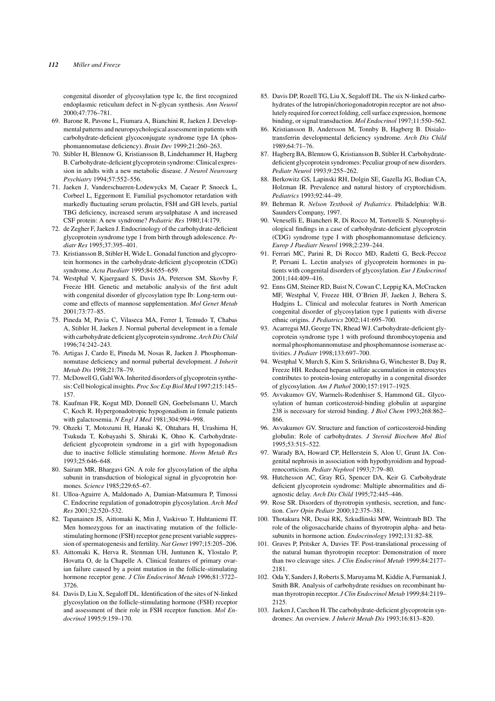congenital disorder of glycosylation type Ic, the first recognized endoplasmic reticulum defect in N-glycan synthesis. *Ann Neurol* 2000;47:776–781.

- 69. Barone R, Pavone L, Fiumara A, Bianchini R, Jaeken J. Developmental patterns and neuropsychological assessment in patients with carbohydrate-deficient glycoconjugate syndrome type IA (phosphomannomutase deficiency). *Brain Dev* 1999;21:260–263.
- 70. Stibler H, Blennow G, Kristiansson B, Lindehammer H, Hagberg B. Carbohydrate-deficient glycoprotein syndrome: Clinical expression in adults with a new metabolic disease. *J Neurol Neurosurg Psychiatry* 1994;57:552–556.
- 71. Jaeken J, Vanderschueren-Lodewyckx M, Caeaer P, Snoeck L, Corbeel L, Eggermont E. Familial psychomotor retardation with markedly fluctuating serum prolactin, FSH and GH levels, partial TBG deficiency, increased serum arysulphatase A and increased CSF protein: A new syndrome? *Pediatric Res* 1980;14:179.
- 72. de Zegher F, Jaeken J. Endocrinology of the carbohydrate-deficient glycoprotein syndrome type 1 from birth through adolescence. *Pediatr Res* 1995;37:395–401.
- 73. Kristiansson B, Stibler H, Wide L. Gonadal function and glycoprotein hormones in the carbohydrate-deficient glycoprotein (CDG) syndrome. *Acta Paediatr* 1995;84:655–659.
- 74. Westphal V, Kjaergaard S, Davis JA, Peterson SM, Skovby F, Freeze HH. Genetic and metabolic analysis of the first adult with congenital disorder of glycosylation type Ib: Long-term outcome and effects of mannose supplementation. *Mol Genet Metab* 2001;73:77–85.
- 75. Pineda M, Pavia C, Vilaseca MA, Ferrer I, Temudo T, Chabas A, Stibler H, Jaeken J. Normal pubertal development in a female with carbohydrate deficient glycoprotein syndrome.*Arch Dis Child* 1996;74:242–243.
- 76. Artigas J, Cardo E, Pineda M, Nosas R, Jaeken J. Phosphomannomutase deficiency and normal pubertal development. *J Inherit Metab Dis* 1998;21:78–79.
- 77. McDowell G, Gahl WA. Inherited disorders of glycoprotein synthesis: Cell biological insights. *Proc Soc Exp Biol Med* 1997;215:145– 157.
- 78. Kaufman FR, Kogut MD, Donnell GN, Goebelsmann U, March C, Koch R. Hypergonadotropic hypogonadism in female patients with galactosemia. *N Engl J Med* 1981;304:994–998.
- 79. Ohzeki T, Motozumi H, Hanaki K, Ohtahara H, Urashima H, Tsukuda T, Kobayashi S, Shiraki K, Ohno K. Carbohydratedeficient glycoprotein syndrome in a girl with hypogonadism due to inactive follicle stimulating hormone. *Horm Metab Res* 1993;25:646–648.
- 80. Sairam MR, Bhargavi GN. A role for glycosylation of the alpha subunit in transduction of biological signal in glycoprotein hormones. *Science* 1985;229:65–67.
- 81. Ulloa-Aguirre A, Maldonado A, Damian-Matsumura P, Timossi C. Endocrine regulation of gonadotropin glycosylation. *Arch Med Res* 2001;32:520–532.
- 82. Tapanainen JS, Aittomaki K, Min J, Vaskivuo T, Huhtaniemi IT. Men homozygous for an inactivating mutation of the folliclestimulating hormone (FSH) receptor gene present variable suppression of spermatogenesis and fertility. *Nat Genet* 1997;15:205–206.
- 83. Aittomaki K, Herva R, Stenman UH, Juntunen K, Ylostalo P, Hovatta O, de la Chapelle A. Clinical features of primary ovarian failure caused by a point mutation in the follicle-stimulating hormone receptor gene. *J Clin Endocrinol Metab* 1996;81:3722– 3726.
- 84. Davis D, Liu X, Segaloff DL. Identification of the sites of N-linked glycosylation on the follicle-stimulating hormone (FSH) receptor and assessment of their role in FSH receptor function. *Mol Endocrinol* 1995;9:159–170.
- 85. Davis DP, Rozell TG, Liu X, Segaloff DL. The six N-linked carbohydrates of the lutropin/choriogonadotropin receptor are not absolutely required for correct folding, cell surface expression, hormone binding, or signal transduction. *Mol Endocrinol* 1997;11:550–562.
- 86. Kristiansson B, Andersson M, Tonnby B, Hagberg B. Disialotransferrin developmental deficiency syndrome. *Arch Dis Child* 1989;64:71–76.
- 87. Hagberg BA, Blennow G, Kristiansson B, Stibler H. Carbohydratedeficient glycoprotein syndromes: Peculiar group of new disorders. *Pediatr Neurol* 1993;9:255–262.
- 88. Berkowitz GS, Lapinski RH, Dolgin SE, Gazella JG, Bodian CA, Holzman IR. Prevalence and natural history of cryptorchidism. *Pediatrics* 1993;92:44–49.
- 89. Behrman R. *Nelson Textbook of Pediatrics*. Philadelphia: W.B. Saunders Company, 1997.
- 90. Veneselli E, Biancheri R, Di Rocco M, Tortorelli S. Neurophysiological findings in a case of carbohydrate-deficient glycoprotein (CDG) syndrome type I with phosphomannomutase deficiency. *Europ J Paediatr Neurol* 1998;2:239–244.
- 91. Ferrari MC, Parini R, Di Rocco MD, Radetti G, Beck-Peccoz P, Persani L. Lectin analyses of glycoprotein hormones in patients with congenital disorders of glycosylation. *Eur J Endocrinol* 2001;144:409–416.
- 92. Enns GM, Steiner RD, Buist N, Cowan C, Leppig KA, McCracken MF, Westphal V, Freeze HH, O'Brien JF, Jaeken J, Behera S, Hudgins L. Clinical and molecular features in North American congenital disorder of glycosylation type I patients with diverse ethnic origins. *J Pediatrics* 2002;141:695–700.
- 93. Acarregui MJ, George TN, Rhead WJ. Carbohydrate-deficient glycoprotein syndrome type 1 with profound thrombocytopenia and normal phosphomannomutase and phosphomannose isomerase activities. *J Pediatr* 1998;133:697–700.
- 94. Westphal V, Murch S, Kim S, Srikrishna G, Winchester B, Day R, Freeze HH. Reduced heparan sulfate accumulation in enterocytes contributes to protein-losing enteropathy in a congenital disorder of glycosylation. *Am J Pathol* 2000;157:1917–1925.
- 95. Avvakumov GV, Warmels-Rodenhiser S, Hammond GL. Glycosylation of human corticosteroid-binding globulin at aspargine 238 is necessary for steroid binding. *J Biol Chem* 1993;268:862– 866.
- 96. Avvakumov GV. Structure and function of corticosteroid-binding globulin: Role of carbohydrates. *J Steroid Biochem Mol Biol* 1995;53:515–522.
- 97. Warady BA, Howard CP, Hellerstein S, Alon U, Grunt JA. Congenital nephrosis in association with hypothyroidism and hypoadrenocorticism. *Pediatr Nephrol* 1993;7:79–80.
- 98. Hutchesson AC, Gray RG, Spencer DA, Keir G. Carbohydrate deficient glycoprotein syndrome: Multiple abnormalities and diagnostic delay. *Arch Dis Child* 1995;72:445–446.
- 99. Rose SR. Disorders of thyrotropin synthesis, secretion, and function. *Curr Opin Pediatr* 2000;12:375–381.
- 100. Thotakura NR, Desai RK, Szkudlinski MW, Weintraub BD. The role of the oligosaccharide chains of thyrotropin alpha- and betasubunits in hormone action. *Endocrinology* 1992;131:82–88.
- 101. Graves P, Pritsker A, Davies TF. Post-translational processing of the natural human thyrotropin receptor: Demonstration of more than two cleavage sites. *J Clin Endocrinol Metab* 1999;84:2177– 2181.
- 102. Oda Y, Sanders J, Roberts S, Maruyama M, Kiddie A, Furmaniak J, Smith BR. Analysis of carbohydrate residues on recombinant human thyrotropin receptor. *J Clin Endocrinol Metab* 1999;84:2119– 2125.
- 103. Jaeken J, Carchon H. The carbohydrate-deficient glycoprotein syndromes: An overview. *J Inherit Metab Dis* 1993;16:813–820.